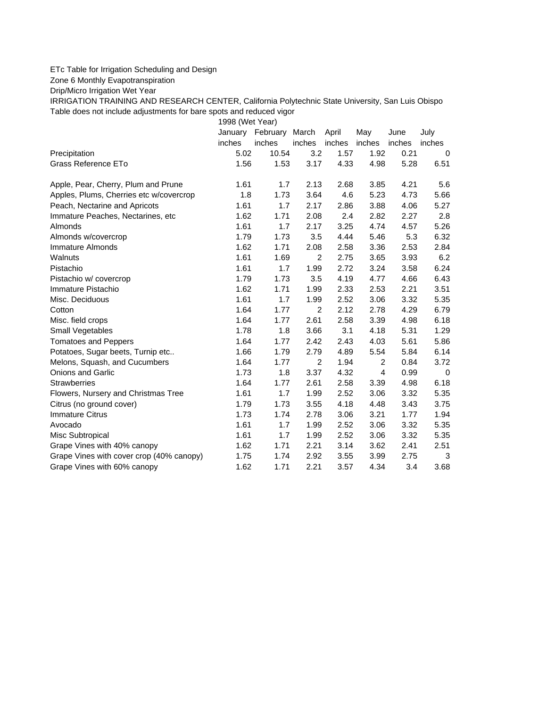## ETc Table for Irrigation Scheduling and Design

Zone 6 Monthly Evapotranspiration

Drip/Micro Irrigation Wet Year

IRRIGATION TRAINING AND RESEARCH CENTER, California Polytechnic State University, San Luis Obispo Table does not include adjustments for bare spots and reduced vigor

1998 (Wet Year)

|                                          | January | February March |                | April  | May            | June   | July        |
|------------------------------------------|---------|----------------|----------------|--------|----------------|--------|-------------|
|                                          | inches  | inches         | inches         | inches | inches         | inches | inches      |
| Precipitation                            | 5.02    | 10.54          | 3.2            | 1.57   | 1.92           | 0.21   | $\mathbf 0$ |
| <b>Grass Reference ETo</b>               | 1.56    | 1.53           | 3.17           | 4.33   | 4.98           | 5.28   | 6.51        |
| Apple, Pear, Cherry, Plum and Prune      | 1.61    | 1.7            | 2.13           | 2.68   | 3.85           | 4.21   | 5.6         |
| Apples, Plums, Cherries etc w/covercrop  | 1.8     | 1.73           | 3.64           | 4.6    | 5.23           | 4.73   | 5.66        |
| Peach, Nectarine and Apricots            | 1.61    | 1.7            | 2.17           | 2.86   | 3.88           | 4.06   | 5.27        |
| Immature Peaches, Nectarines, etc        | 1.62    | 1.71           | 2.08           | 2.4    | 2.82           | 2.27   | 2.8         |
| Almonds                                  | 1.61    | 1.7            | 2.17           | 3.25   | 4.74           | 4.57   | 5.26        |
| Almonds w/covercrop                      | 1.79    | 1.73           | 3.5            | 4.44   | 5.46           | 5.3    | 6.32        |
| Immature Almonds                         | 1.62    | 1.71           | 2.08           | 2.58   | 3.36           | 2.53   | 2.84        |
| Walnuts                                  | 1.61    | 1.69           | 2              | 2.75   | 3.65           | 3.93   | 6.2         |
| Pistachio                                | 1.61    | 1.7            | 1.99           | 2.72   | 3.24           | 3.58   | 6.24        |
| Pistachio w/ covercrop                   | 1.79    | 1.73           | 3.5            | 4.19   | 4.77           | 4.66   | 6.43        |
| Immature Pistachio                       | 1.62    | 1.71           | 1.99           | 2.33   | 2.53           | 2.21   | 3.51        |
| Misc. Deciduous                          | 1.61    | 1.7            | 1.99           | 2.52   | 3.06           | 3.32   | 5.35        |
| Cotton                                   | 1.64    | 1.77           | $\overline{2}$ | 2.12   | 2.78           | 4.29   | 6.79        |
| Misc. field crops                        | 1.64    | 1.77           | 2.61           | 2.58   | 3.39           | 4.98   | 6.18        |
| <b>Small Vegetables</b>                  | 1.78    | 1.8            | 3.66           | 3.1    | 4.18           | 5.31   | 1.29        |
| <b>Tomatoes and Peppers</b>              | 1.64    | 1.77           | 2.42           | 2.43   | 4.03           | 5.61   | 5.86        |
| Potatoes, Sugar beets, Turnip etc        | 1.66    | 1.79           | 2.79           | 4.89   | 5.54           | 5.84   | 6.14        |
| Melons, Squash, and Cucumbers            | 1.64    | 1.77           | 2              | 1.94   | 2              | 0.84   | 3.72        |
| Onions and Garlic                        | 1.73    | 1.8            | 3.37           | 4.32   | $\overline{4}$ | 0.99   | 0           |
| <b>Strawberries</b>                      | 1.64    | 1.77           | 2.61           | 2.58   | 3.39           | 4.98   | 6.18        |
| Flowers, Nursery and Christmas Tree      | 1.61    | 1.7            | 1.99           | 2.52   | 3.06           | 3.32   | 5.35        |
| Citrus (no ground cover)                 | 1.79    | 1.73           | 3.55           | 4.18   | 4.48           | 3.43   | 3.75        |
| <b>Immature Citrus</b>                   | 1.73    | 1.74           | 2.78           | 3.06   | 3.21           | 1.77   | 1.94        |
| Avocado                                  | 1.61    | 1.7            | 1.99           | 2.52   | 3.06           | 3.32   | 5.35        |
| Misc Subtropical                         | 1.61    | 1.7            | 1.99           | 2.52   | 3.06           | 3.32   | 5.35        |
| Grape Vines with 40% canopy              | 1.62    | 1.71           | 2.21           | 3.14   | 3.62           | 2.41   | 2.51        |
| Grape Vines with cover crop (40% canopy) | 1.75    | 1.74           | 2.92           | 3.55   | 3.99           | 2.75   | 3           |
| Grape Vines with 60% canopy              | 1.62    | 1.71           | 2.21           | 3.57   | 4.34           | 3.4    | 3.68        |